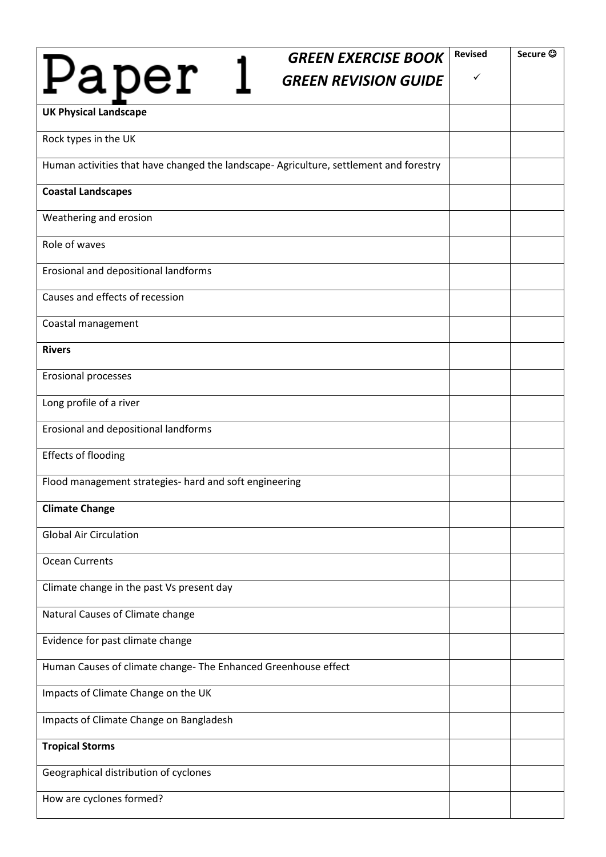| <b>GREEN EXERCISE BOOK</b>                                                             | <b>Revised</b> | Secure © |
|----------------------------------------------------------------------------------------|----------------|----------|
| Paper<br><b>GREEN REVISION GUIDE</b>                                                   | ✓              |          |
| <b>UK Physical Landscape</b>                                                           |                |          |
| Rock types in the UK                                                                   |                |          |
| Human activities that have changed the landscape- Agriculture, settlement and forestry |                |          |
| <b>Coastal Landscapes</b>                                                              |                |          |
| Weathering and erosion                                                                 |                |          |
| Role of waves                                                                          |                |          |
| Erosional and depositional landforms                                                   |                |          |
| Causes and effects of recession                                                        |                |          |
| Coastal management                                                                     |                |          |
| <b>Rivers</b>                                                                          |                |          |
| <b>Erosional processes</b>                                                             |                |          |
| Long profile of a river                                                                |                |          |
| Erosional and depositional landforms                                                   |                |          |
| <b>Effects of flooding</b>                                                             |                |          |
| Flood management strategies- hard and soft engineering                                 |                |          |
| <b>Climate Change</b>                                                                  |                |          |
| <b>Global Air Circulation</b>                                                          |                |          |
| <b>Ocean Currents</b>                                                                  |                |          |
| Climate change in the past Vs present day                                              |                |          |
| Natural Causes of Climate change                                                       |                |          |
| Evidence for past climate change                                                       |                |          |
| Human Causes of climate change- The Enhanced Greenhouse effect                         |                |          |
| Impacts of Climate Change on the UK                                                    |                |          |
| Impacts of Climate Change on Bangladesh                                                |                |          |
| <b>Tropical Storms</b>                                                                 |                |          |
| Geographical distribution of cyclones                                                  |                |          |
| How are cyclones formed?                                                               |                |          |